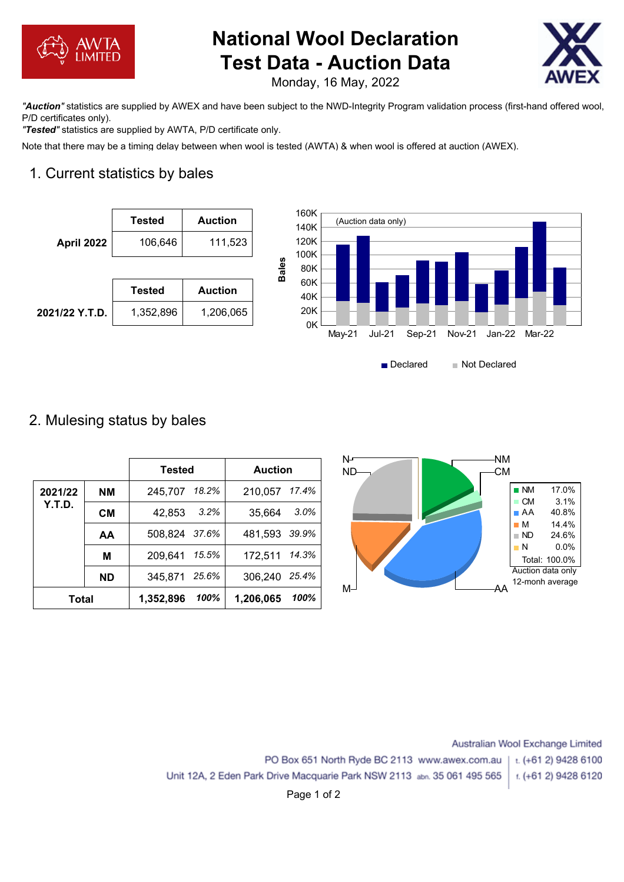

# **National Wool Declaration Test Data - Auction Data**



Monday, 16 May, 2022

*"Auction"* statistics are supplied by AWEX and have been subject to the NWD-Integrity Program validation process (first-hand offered wool, P/D certificates only).

*"Tested"* statistics are supplied by AWTA, P/D certificate only.

Note that there may be a timing delay between when wool is tested (AWTA) & when wool is offered at auction (AWEX).

# 1. Current statistics by bales





# 2. Mulesing status by bales

|              |           | <b>Tested</b>    |       | <b>Auction</b> |       | N۲<br>ΝM<br>-CM<br><b>ND</b>                            |
|--------------|-----------|------------------|-------|----------------|-------|---------------------------------------------------------|
| 2021/22      | <b>NM</b> | 245,707          | 18.2% | 210,057        | 17.4% | 17.0%<br>$\blacksquare$ NM<br>$\blacksquare$ CM<br>3.1% |
| Y.T.D.       | <b>CM</b> | 42,853           | 3.2%  | 35,664         | 3.0%  | 40.8%<br>$\blacksquare$ AA                              |
|              | AA        | 37.6%<br>508,824 |       | 481,593        | 39.9% | 14.4%<br>$\blacksquare$ M<br>24.6%<br>$\blacksquare$ ND |
|              | M         | 209,641          | 15.5% | 172,511        | 14.3% | 0.0%<br>$\blacksquare$ N<br>Total: 100.0%               |
|              | <b>ND</b> | 25.6%<br>345,871 |       | 306,240        | 25.4% | Auction data only<br>12-monh average                    |
| <b>Total</b> |           | 1,352,896        | 100%  | 1,206,065      | 100%  | M <sup>-1</sup><br>ΑA                                   |

Australian Wool Exchange Limited PO Box 651 North Ryde BC 2113 www.awex.com.au t. (+61 2) 9428 6100 Unit 12A, 2 Eden Park Drive Macquarie Park NSW 2113 abn. 35 061 495 565 t. (+61 2) 9428 6120